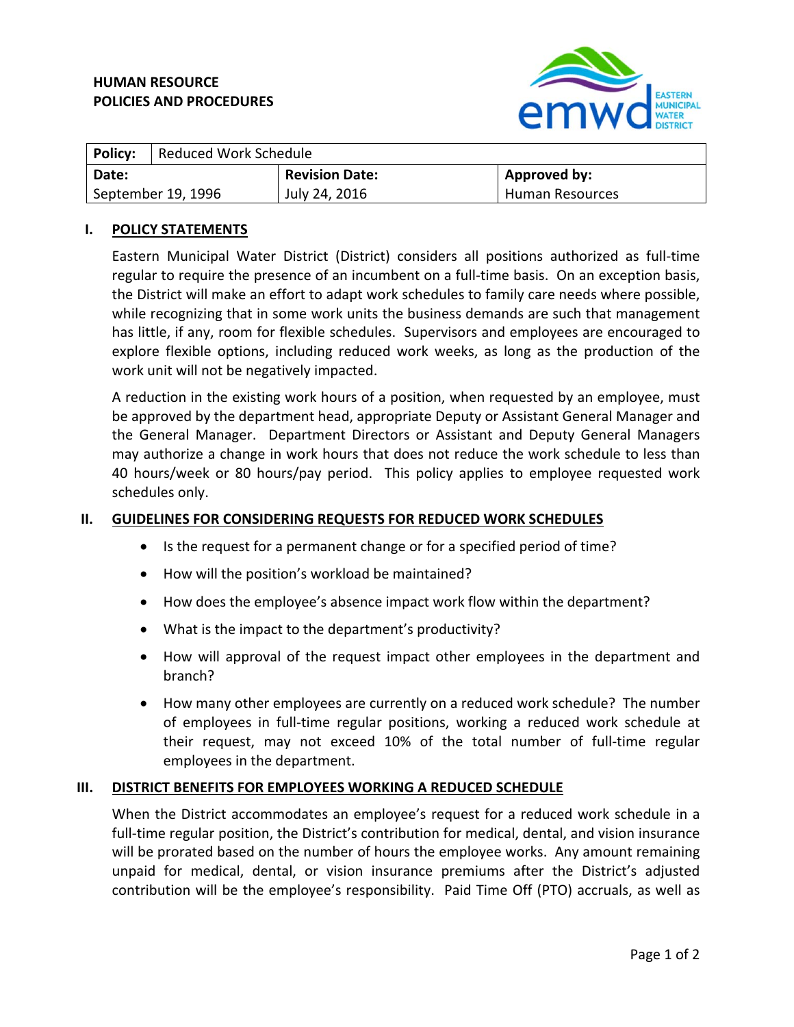# **HUMAN RESOURCE POLICIES AND PROCEDURES**



| Policy:            | Reduced Work Schedule |                       |                 |
|--------------------|-----------------------|-----------------------|-----------------|
| Date:              |                       | <b>Revision Date:</b> | Approved by:    |
| September 19, 1996 |                       | July 24, 2016         | Human Resources |

#### **I. POLICY STATEMENTS**

Eastern Municipal Water District (District) considers all positions authorized as full‐time regular to require the presence of an incumbent on a full-time basis. On an exception basis, the District will make an effort to adapt work schedules to family care needs where possible, while recognizing that in some work units the business demands are such that management has little, if any, room for flexible schedules. Supervisors and employees are encouraged to explore flexible options, including reduced work weeks, as long as the production of the work unit will not be negatively impacted.

A reduction in the existing work hours of a position, when requested by an employee, must be approved by the department head, appropriate Deputy or Assistant General Manager and the General Manager. Department Directors or Assistant and Deputy General Managers may authorize a change in work hours that does not reduce the work schedule to less than 40 hours/week or 80 hours/pay period. This policy applies to employee requested work schedules only.

## **II. GUIDELINES FOR CONSIDERING REQUESTS FOR REDUCED WORK SCHEDULES**

- Is the request for a permanent change or for a specified period of time?
- How will the position's workload be maintained?
- How does the employee's absence impact work flow within the department?
- What is the impact to the department's productivity?
- How will approval of the request impact other employees in the department and branch?
- How many other employees are currently on a reduced work schedule? The number of employees in full‐time regular positions, working a reduced work schedule at their request, may not exceed 10% of the total number of full‐time regular employees in the department.

#### **III. DISTRICT BENEFITS FOR EMPLOYEES WORKING A REDUCED SCHEDULE**

When the District accommodates an employee's request for a reduced work schedule in a full-time regular position, the District's contribution for medical, dental, and vision insurance will be prorated based on the number of hours the employee works. Any amount remaining unpaid for medical, dental, or vision insurance premiums after the District's adjusted contribution will be the employee's responsibility. Paid Time Off (PTO) accruals, as well as